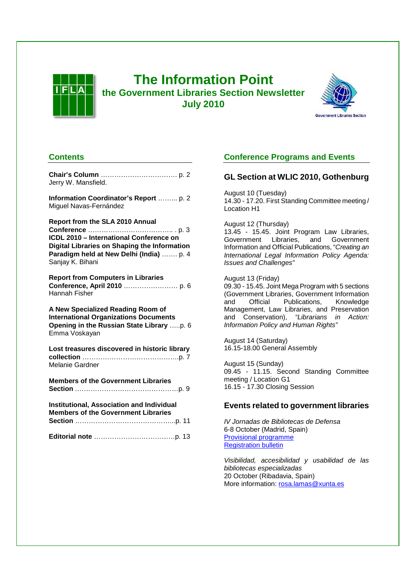

# **The Information Point the Government Libraries Section Newsletter July 2010**



## **Contents**

| Information Coordinator's Report  p. 2<br>Miguel Navas-Fernández<br><b>Report from the SLA 2010 Annual</b><br>ICDL 2010 - International Conference on<br>Digital Libraries on Shaping the Information<br>Paradigm held at New Delhi (India)  p. 4<br>Sanjay K. Bihani<br><b>Report from Computers in Libraries</b><br>Hannah Fisher<br>A New Specialized Reading Room of<br><b>International Organizations Documents</b><br>Opening in the Russian State Library p. 6<br>Emma Voskayan<br>Lost treasures discovered in historic library<br>Melanie Gardner<br><b>Members of the Government Libraries</b><br><b>Institutional, Association and Individual</b><br><b>Members of the Government Libraries</b> | Jerry W. Mansfield. |
|------------------------------------------------------------------------------------------------------------------------------------------------------------------------------------------------------------------------------------------------------------------------------------------------------------------------------------------------------------------------------------------------------------------------------------------------------------------------------------------------------------------------------------------------------------------------------------------------------------------------------------------------------------------------------------------------------------|---------------------|
|                                                                                                                                                                                                                                                                                                                                                                                                                                                                                                                                                                                                                                                                                                            |                     |
|                                                                                                                                                                                                                                                                                                                                                                                                                                                                                                                                                                                                                                                                                                            |                     |
|                                                                                                                                                                                                                                                                                                                                                                                                                                                                                                                                                                                                                                                                                                            |                     |
|                                                                                                                                                                                                                                                                                                                                                                                                                                                                                                                                                                                                                                                                                                            |                     |
|                                                                                                                                                                                                                                                                                                                                                                                                                                                                                                                                                                                                                                                                                                            |                     |
|                                                                                                                                                                                                                                                                                                                                                                                                                                                                                                                                                                                                                                                                                                            |                     |
|                                                                                                                                                                                                                                                                                                                                                                                                                                                                                                                                                                                                                                                                                                            |                     |
|                                                                                                                                                                                                                                                                                                                                                                                                                                                                                                                                                                                                                                                                                                            |                     |
|                                                                                                                                                                                                                                                                                                                                                                                                                                                                                                                                                                                                                                                                                                            |                     |

## **Conference Programs and Events**

## **GL Section at WLIC 2010, Gothenburg**

August 10 (Tuesday) 14.30 - 17.20. First Standing Committee meeting / Location H1

August 12 (Thursday)

13.45 - 15.45. Joint Program Law Libraries, Government Libraries, and Government Information and Official Publications, "Creating an International Legal Information Policy Agenda: Issues and Challenges"

August 13 (Friday) 09.30 - 15.45. Joint Mega Program with 5 sections (Government Libraries, Government Information and Official Publications, Knowledge Management, Law Libraries, and Preservation and Conservation), "Librarians in Action: Information Policy and Human Rights"

August 14 (Saturday) 16.15-18.00 General Assembly

August 15 (Sunday) 09.45 - 11.15. Second Standing Committee meeting / Location G1 16.15 - 17.30 Closing Session

## **Events related to government libraries**

IV Jornadas de Bibliotecas de Defensa 6-8 October (Madrid, Spain) Provisional programme Registration bulletin

Visibilidad, accesibilidad y usabilidad de las bibliotecas especializadas 20 October (Ribadavia, Spain) More information: rosa.lamas@xunta.es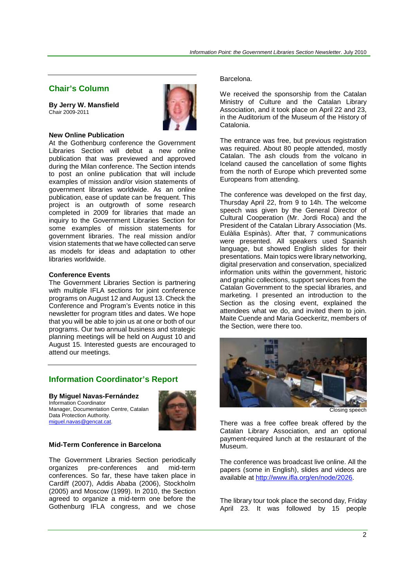### **Chair's Column**

**By Jerry W. Mansfield**  Chair 2009-2011



#### **New Online Publication**

At the Gothenburg conference the Government Libraries Section will debut a new online publication that was previewed and approved during the Milan conference. The Section intends to post an online publication that will include examples of mission and/or vision statements of government libraries worldwide. As an online publication, ease of update can be frequent. This project is an outgrowth of some research completed in 2009 for libraries that made an inquiry to the Government Libraries Section for some examples of mission statements for government libraries. The real mission and/or vision statements that we have collected can serve as models for ideas and adaptation to other libraries worldwide.

#### **Conference Events**

The Government Libraries Section is partnering with multiple IFLA sections for joint conference programs on August 12 and August 13. Check the Conference and Program's Events notice in this newsletter for program titles and dates. We hope that you will be able to join us at one or both of our programs. Our two annual business and strategic planning meetings will be held on August 10 and August 15. Interested guests are encouraged to attend our meetings.

### **Information Coordinator's Report**

#### **By Miguel Navas-Fernández**

Information Coordinator Manager, Documentation Centre, Catalan Data Protection Authority. miguel.navas@gencat.cat.



#### **Mid-Term Conference in Barcelona**

The Government Libraries Section periodically organizes pre-conferences and mid-term conferences. So far, these have taken place in Cardiff (2007), Addis Ababa (2006), Stockholm (2005) and Moscow (1999). In 2010, the Section agreed to organize a mid-term one before the Gothenburg IFLA congress, and we chose

#### Barcelona.

We received the sponsorship from the Catalan Ministry of Culture and the Catalan Library Association, and it took place on April 22 and 23, in the Auditorium of the Museum of the History of Catalonia.

The entrance was free, but previous registration was required. About 80 people attended, mostly Catalan. The ash clouds from the volcano in Iceland caused the cancellation of some flights from the north of Europe which prevented some Europeans from attending.

The conference was developed on the first day, Thursday April 22, from 9 to 14h. The welcome speech was given by the General Director of Cultural Cooperation (Mr. Jordi Roca) and the President of the Catalan Library Association (Ms. Eulàlia Espinàs). After that,  $\overline{7}$  communications were presented. All speakers used Spanish language, but showed English slides for their presentations. Main topics were library networking, digital preservation and conservation, specialized information units within the government, historic and graphic collections, support services from the Catalan Government to the special libraries, and marketing. I presented an introduction to the Section as the closing event, explained the attendees what we do, and invited them to join. Maite Cuende and Maria Goeckeritz, members of the Section, were there too.



Closing speech

There was a free coffee break offered by the Catalan Library Association, and an optional payment-required lunch at the restaurant of the Museum.

The conference was broadcast live online. All the papers (some in English), slides and videos are available at http://www.ifla.org/en/node/2026.

The library tour took place the second day, Friday April 23. It was followed by 15 people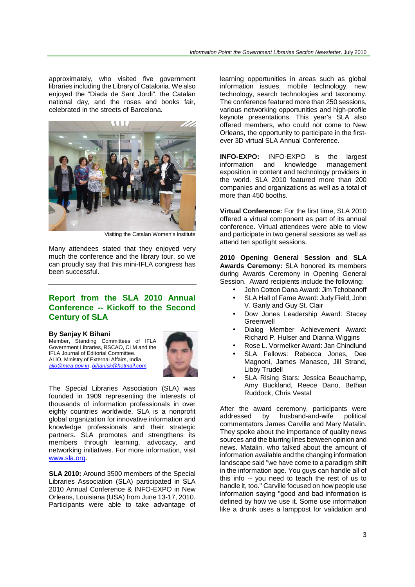approximately, who visited five government libraries including the Library of Catalonia. We also enjoyed the "Diada de Sant Jordi", the Catalan national day, and the roses and books fair, celebrated in the streets of Barcelona.



Visiting the Catalan Women's Institute

Many attendees stated that they enjoyed very much the conference and the library tour, so we can proudly say that this mini-IFLA congress has been successful.

## **Report from the SLA 2010 Annual Conference -- Kickoff to the Second Century of SLA**

#### **By Sanjay K Bihani**

Member, Standing Committees of IFLA Government Libraries, RSCAO, CLM and the IFLA Journal of Editorial Committee. ALIO, Ministry of External Affairs, India alio@mea.gov.in, bihanisk@hotmail.com



The Special Libraries Association (SLA) was founded in 1909 representing the interests of thousands of information professionals in over eighty countries worldwide. SLA is a nonprofit global organization for innovative information and knowledge professionals and their strategic partners. SLA promotes and strengthens its members through learning, advocacy, and networking initiatives. For more information, visit www.sla.org.

**SLA 2010:** Around 3500 members of the Special Libraries Association (SLA) participated in SLA 2010 Annual Conference & INFO-EXPO in New Orleans, Louisiana (USA) from June 13-17, 2010. Participants were able to take advantage of

learning opportunities in areas such as global information issues, mobile technology, new technology, search technologies and taxonomy. The conference featured more than 250 sessions, various networking opportunities and high-profile keynote presentations. This year's SLA also offered members, who could not come to New Orleans, the opportunity to participate in the firstever 3D virtual SLA Annual Conference.

**INFO-EXPO:** INFO-EXPO is the largest information and knowledge management exposition in content and technology providers in the world. SLA 2010 featured more than 200 companies and organizations as well as a total of more than 450 booths.

**Virtual Conference:** For the first time, SLA 2010 offered a virtual component as part of its annual conference. Virtual attendees were able to view and participate in two general sessions as well as attend ten spotlight sessions.

**2010 Opening General Session and SLA Awards Ceremony:** SLA honored its members during Awards Ceremony in Opening General Session. Award recipients include the following:

- John Cotton Dana Award: Jim Tchobanoff
- SLA Hall of Fame Award: Judy Field, John V. Ganly and Guy St. Clair
- Dow Jones Leadership Award: Stacey **Greenwell**
- Dialog Member Achievement Award: Richard P. Hulser and Dianna Wiggins
- Rose L. Vormelker Award: Jan Chindlund
- SLA Fellows: Rebecca Jones, Dee Magnoni, James Manasco, Jill Strand, Libby Trudell
- SLA Rising Stars: Jessica Beauchamp, Amy Buckland, Reece Dano, Bethan Ruddock, Chris Vestal

After the award ceremony, participants were addressed by husband-and-wife political commentators James Carville and Mary Matalin. They spoke about the importance of quality news sources and the blurring lines between opinion and news. Matalin, who talked about the amount of information available and the changing information landscape said "we have come to a paradigm shift in the information age. You guys can handle all of this info -- you need to teach the rest of us to handle it, too." Carville focused on how people use information saying "good and bad information is defined by how we use it. Some use information like a drunk uses a lamppost for validation and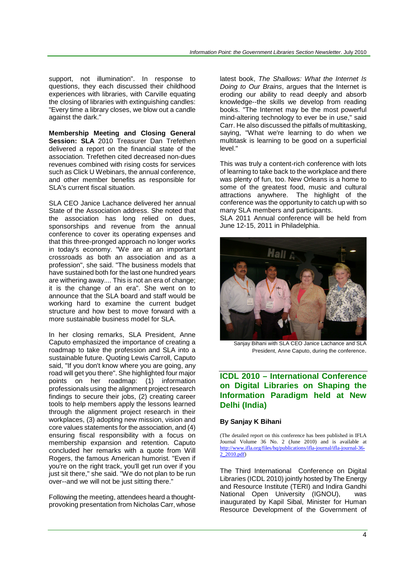support, not illumination". In response to questions, they each discussed their childhood experiences with libraries, with Carville equating the closing of libraries with extinguishing candles: "Every time a library closes, we blow out a candle against the dark."

**Membership Meeting and Closing General Session: SLA** 2010 Treasurer Dan Trefethen delivered a report on the financial state of the association. Trefethen cited decreased non-dues revenues combined with rising costs for services such as Click U Webinars, the annual conference, and other member benefits as responsible for SLA's current fiscal situation.

SLA CEO Janice Lachance delivered her annual State of the Association address. She noted that the association has long relied on dues, sponsorships and revenue from the annual conference to cover its operating expenses and that this three-pronged approach no longer works in today's economy. "We are at an important crossroads as both an association and as a profession", she said. "The business models that have sustained both for the last one hundred years are withering away.... This is not an era of change; it is the change of an era". She went on to announce that the SLA board and staff would be working hard to examine the current budget structure and how best to move forward with a more sustainable business model for SLA.

In her closing remarks, SLA President, Anne Caputo emphasized the importance of creating a roadmap to take the profession and SLA into a sustainable future. Quoting Lewis Carroll, Caputo said, "If you don't know where you are going, any road will get you there". She highlighted four major points on her roadmap: (1) information professionals using the alignment project research findings to secure their jobs, (2) creating career tools to help members apply the lessons learned through the alignment project research in their workplaces, (3) adopting new mission, vision and core values statements for the association, and (4) ensuring fiscal responsibility with a focus on membership expansion and retention. Caputo concluded her remarks with a quote from Will Rogers, the famous American humorist. "Even if you're on the right track, you'll get run over if you just sit there," she said. "We do not plan to be run over--and we will not be just sitting there."

Following the meeting, attendees heard a thoughtprovoking presentation from Nicholas Carr, whose

latest book, The Shallows: What the Internet Is Doing to Our Brains, argues that the Internet is eroding our ability to read deeply and absorb knowledge--the skills we develop from reading books. "The Internet may be the most powerful mind-altering technology to ever be in use," said Carr. He also discussed the pitfalls of multitasking, saying, "What we're learning to do when we multitask is learning to be good on a superficial level."

This was truly a content-rich conference with lots of learning to take back to the workplace and there was plenty of fun, too. New Orleans is a home to some of the greatest food, music and cultural attractions anywhere. The highlight of the conference was the opportunity to catch up with so many SLA members and participants.

SLA 2011 Annual conference will be held from June 12-15, 2011 in Philadelphia.



Sanjay Bihani with SLA CEO Janice Lachance and SLA President, Anne Caputo, during the conference.

## **ICDL 2010 – International Conference on Digital Libraries on Shaping the Information Paradigm held at New Delhi (India)**

#### **By Sanjay K Bihani**

(The detailed report on this conference has been published in IFLA Journal Volume 36 No. 2 (June 2010) and is available at http://www.ifla.org/files/hq/publications/ifla-journal/ifla-journal-36- 2 2010.pdf)

The Third International Conference on Digital Libraries (ICDL 2010) jointly hosted by The Energy and Resource Institute (TERI) and Indira Gandhi National Open University (IGNOU), was inaugurated by Kapil Sibal, Minister for Human Resource Development of the Government of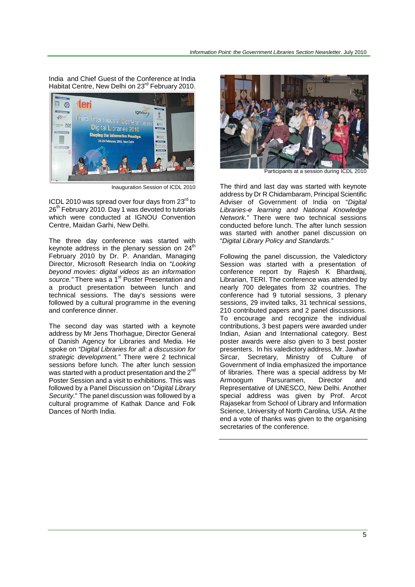India and Chief Guest of the Conference at India Habitat Centre, New Delhi on 23<sup>rd</sup> February 2010.



Inauguration Session of ICDL 2010

ICDL 2010 was spread over four days from  $23<sup>rd</sup>$  to 26<sup>th</sup> February 2010. Day 1 was devoted to tutorials which were conducted at IGNOU Convention Centre, Maidan Garhi, New Delhi.

The three day conference was started with keynote address in the plenary session on  $24<sup>th</sup>$ February 2010 by Dr. P. Anandan, Managing Director, Microsoft Research India on "Looking beyond movies: digital videos as an information source." There was a 1<sup>st</sup> Poster Presentation and a product presentation between lunch and technical sessions. The day's sessions were followed by a cultural programme in the evening and conference dinner.

The second day was started with a keynote address by Mr Jens Thorhague, Director General of Danish Agency for Libraries and Media. He spoke on "Digital Libraries for all: a discussion for strategic development." There were 2 technical sessions before lunch. The after lunch session was started with a product presentation and the 2<sup>nd</sup> Poster Session and a visit to exhibitions. This was followed by a Panel Discussion on "Digital Library Security." The panel discussion was followed by a cultural programme of Kathak Dance and Folk Dances of North India.



Participants at a session during ICDL 2010

The third and last day was started with keynote address by Dr R Chidambaram, Principal Scientific Adviser of Government of India on "Digital Libraries-e learning and National Knowledge Network." There were two technical sessions conducted before lunch. The after lunch session was started with another panel discussion on "Digital Library Policy and Standards."

Following the panel discussion, the Valedictory Session was started with a presentation of conference report by Rajesh K Bhardwaj, Librarian, TERI. The conference was attended by nearly 700 delegates from 32 countries. The conference had 9 tutorial sessions, 3 plenary sessions, 29 invited talks, 31 technical sessions, 210 contributed papers and 2 panel discussions. To encourage and recognize the individual contributions, 3 best papers were awarded under Indian, Asian and International category. Best poster awards were also given to 3 best poster presenters. In his valedictory address, Mr. Jawhar Sircar, Secretary, Ministry of Culture of Government of India emphasized the importance of libraries. There was a special address by Mr Armoogum Parsuramen, Director and Representative of UNESCO, New Delhi. Another special address was given by Prof. Arcot Rajasekar from School of Library and Information Science, University of North Carolina, USA. At the end a vote of thanks was given to the organising secretaries of the conference.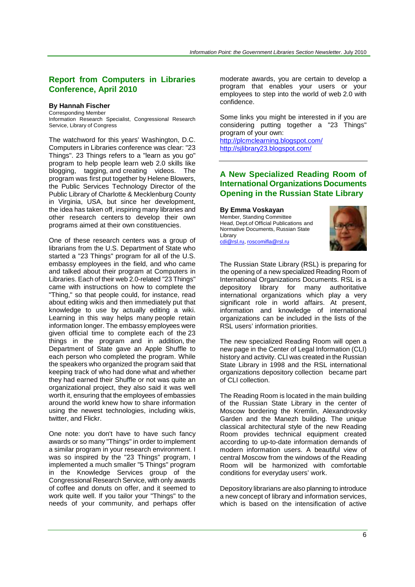## **Report from Computers in Libraries Conference, April 2010**

#### **By Hannah Fischer**

Corresponding Member Information Research Specialist, Congressional Research Service, Library of Congress

The watchword for this years' Washington, D.C. Computers in Libraries conference was clear: "23 Things". 23 Things refers to a "learn as you go" program to help people learn web 2.0 skills like blogging, tagging, and creating videos. The program was first put together by Helene Blowers, the Public Services Technology Director of the Public Library of Charlotte & Mecklenburg County in Virginia, USA, but since her development, the idea has taken off, inspiring many libraries and other research centers to develop their own programs aimed at their own constituencies.

One of these research centers was a group of librarians from the U.S. Department of State who started a "23 Things" program for all of the U.S. embassy employees in the field, and who came and talked about their program at Computers in Libraries. Each of their web 2.0-related "23 Things" came with instructions on how to complete the "Thing," so that people could, for instance, read about editing wikis and then immediately put that knowledge to use by actually editing a wiki. Learning in this way helps many people retain information longer. The embassy employees were given official time to complete each of the 23 things in the program and in addition, the Department of State gave an Apple Shuffle to each person who completed the program. While the speakers who organized the program said that keeping track of who had done what and whether they had earned their Shuffle or not was quite an organizational project, they also said it was well worth it, ensuring that the employees of embassies around the world knew how to share information using the newest technologies, including wikis, twitter, and Flickr.

One note: you don't have to have such fancy awards or so many "Things" in order to implement a similar program in your research environment. I was so inspired by the "23 Things" program, I implemented a much smaller "5 Things" program in the Knowledge Services group of the Congressional Research Service, with only awards of coffee and donuts on offer, and it seemed to work quite well. If you tailor your "Things" to the needs of your community, and perhaps offer

moderate awards, you are certain to develop a program that enables your users or your employees to step into the world of web 2.0 with confidence.

Some links you might be interested in if you are considering putting together a "23 Things" program of your own:

http://plcmclearning.blogspot.com/ http://sjlibrary23.blogspot.com/

## **A New Specialized Reading Room of International Organizations Documents Opening in the Russian State Library**

#### **By Emma Voskayan**

Member, Standing Committee Head, Dept.of Official Publications and Normative Documents, Russian State Library cdi@rsl.ru, roscomifla@rsl.ru



The Russian State Library (RSL) is preparing for the opening of a new specialized Reading Room of International Organizations Documents. RSL is a depository library for many authoritative international organizations which play a very significant role in world affairs. At present, information and knowledge of international organizations can be included in the lists of the RSL users' information priorities.

The new specialized Reading Room will open a new page in the Center of Legal Information (CLI) history and activity. CLI was created in the Russian State Library in 1998 and the RSL international organizations depository collection became part of CLI collection.

The Reading Room is located in the main building of the Russian State Library in the center of Moscow bordering the Kremlin, Alexandrovsky Garden and the Manezh building. The unique classical architectural style of the new Reading Room provides technical equipment created according to up-to-date information demands of modern information users. A beautiful view of central Moscow from the windows of the Reading Room will be harmonized with comfortable conditions for everyday users' work.

Depository librarians are also planning to introduce a new concept of library and information services, which is based on the intensification of active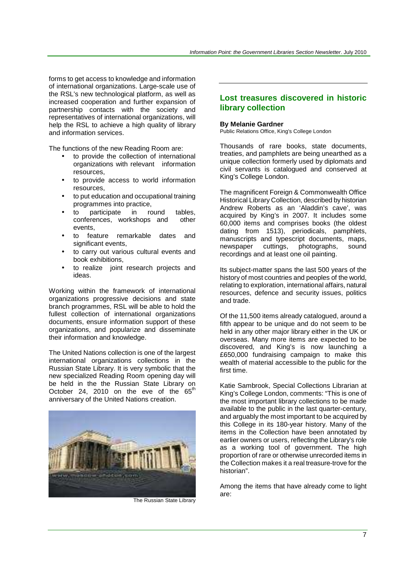forms to get access to knowledge and information of international organizations. Large-scale use of the RSL's new technological platform, as well as increased cooperation and further expansion of partnership contacts with the society and representatives of international organizations, will help the RSL to achieve a high quality of library and information services.

The functions of the new Reading Room are:

- to provide the collection of international organizations with relevant information resources,
- to provide access to world information resources,
- to put education and occupational training programmes into practice,
- to participate in round tables,<br>conferences workshops and other conferences, workshops and events,
- to feature remarkable dates and significant events,
- to carry out various cultural events and book exhibitions,
- to realize joint research projects and ideas.

Working within the framework of international organizations progressive decisions and state branch programmes, RSL will be able to hold the fullest collection of international organizations documents, ensure information support of these organizations, and popularize and disseminate their information and knowledge.

The United Nations collection is one of the largest international organizations collections in the Russian State Library. It is very symbolic that the new specialized Reading Room opening day will be held in the the Russian State Library on October 24, 2010 on the eve of the  $65<sup>t</sup>$ anniversary of the United Nations creation.



The Russian State Library

## **Lost treasures discovered in historic library collection**

#### **By Melanie Gardner**

Public Relations Office, King's College London

Thousands of rare books, state documents, treaties, and pamphlets are being unearthed as a unique collection formerly used by diplomats and civil servants is catalogued and conserved at King's College London.

The magnificent Foreign & Commonwealth Office Historical Library Collection, described by historian Andrew Roberts as an 'Aladdin's cave', was acquired by King's in 2007. It includes some 60,000 items and comprises books (the oldest dating from 1513), periodicals, pamphlets, manuscripts and typescript documents, maps, newspaper cuttings, photographs, sound recordings and at least one oil painting.

Its subject-matter spans the last 500 years of the history of most countries and peoples of the world, relating to exploration, international affairs, natural resources, defence and security issues, politics and trade.

Of the 11,500 items already catalogued, around a fifth appear to be unique and do not seem to be held in any other major library either in the UK or overseas. Many more items are expected to be discovered, and King's is now launching a £650,000 fundraising campaign to make this wealth of material accessible to the public for the first time.

Katie Sambrook, Special Collections Librarian at King's College London, comments: "This is one of the most important library collections to be made available to the public in the last quarter-century, and arguably the most important to be acquired by this College in its 180-year history. Many of the items in the Collection have been annotated by earlier owners or users, reflecting the Library's role as a working tool of government. The high proportion of rare or otherwise unrecorded items in the Collection makes it a real treasure-trove for the historian".

Among the items that have already come to light are: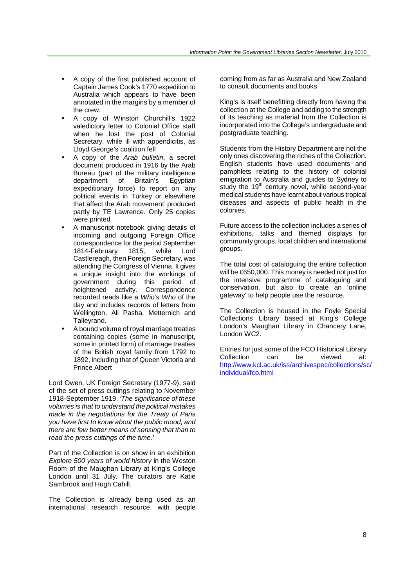- A copy of the first published account of Captain James Cook's 1770 expedition to Australia which appears to have been annotated in the margins by a member of the crew.
- A copy of Winston Churchill's 1922 valedictory letter to Colonial Office staff when he lost the post of Colonial Secretary, while ill with appendicitis, as Lloyd George's coalition fell
- A copy of the Arab bulletin, a secret document produced in 1916 by the Arab Bureau (part of the military intelligence<br>department of Britain's Egyptian department of expeditionary force) to report on 'any political events in Turkey or elsewhere that affect the Arab movement' produced partly by TE Lawrence. Only 25 copies were printed
- A manuscript notebook giving details of incoming and outgoing Foreign Office correspondence for the period September<br>1814-February 1815, while Lord 1814-February 1815, while Lord Castlereagh, then Foreign Secretary, was attending the Congress of Vienna. It gives a unique insight into the workings of government during this period of heightened activity. Correspondence recorded reads like a Who's Who of the day and includes records of letters from Wellington, Ali Pasha, Metternich and Talleyrand.
- A bound volume of royal marriage treaties containing copies (some in manuscript, some in printed form) of marriage treaties of the British royal family from 1792 to 1892, including that of Queen Victoria and Prince Albert

Lord Owen, UK Foreign Secretary (1977-9), said of the set of press cuttings relating to November 1918-September 1919. 'The significance of these volumes is that to understand the political mistakes made in the negotiations for the Treaty of Paris you have first to know about the public mood, and there are few better means of sensing that than to read the press cuttings of the time.'

Part of the Collection is on show in an exhibition Explore 500 years of world history in the Weston Room of the Maughan Library at King's College London until 31 July. The curators are Katie Sambrook and Hugh Cahill.

The Collection is already being used as an international research resource, with people coming from as far as Australia and New Zealand to consult documents and books.

King's is itself benefitting directly from having the collection at the College and adding to the strength of its teaching as material from the Collection is incorporated into the College's undergraduate and postgraduate teaching.

Students from the History Department are not the only ones discovering the riches of the Collection. English students have used documents and pamphlets relating to the history of colonial emigration to Australia and guides to Sydney to study the 19<sup>th</sup> century novel, while second-year medical students have learnt about various tropical diseases and aspects of public health in the colonies.

Future access to the collection includes a series of exhibitions, talks and themed displays for community groups, local children and international groups.

The total cost of cataloguing the entire collection will be £650,000. This money is needed not just for the intensive programme of cataloguing and conservation, but also to create an 'online gateway' to help people use the resource.

The Collection is housed in the Foyle Special Collections Library based at King's College London's Maughan Library in Chancery Lane, London WC2.

Entries for just some of the FCO Historical Library Collection can be viewed at: http://www.kcl.ac.uk/iss/archivespec/collections/sc/ individual/fco.html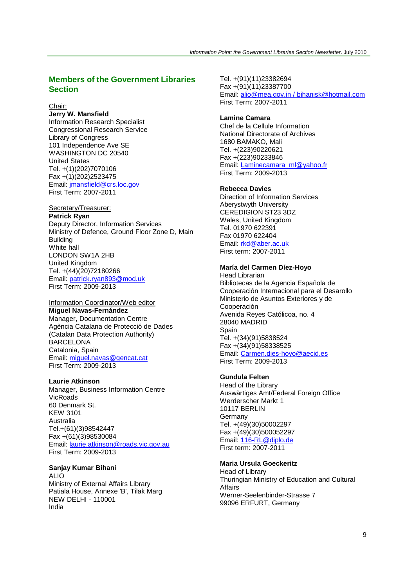## **Members of the Government Libraries Section**

#### Chair:

**Jerry W. Mansfield** Information Research Specialist Congressional Research Service Library of Congress 101 Independence Ave SE WASHINGTON DC 20540 United States Tel. +(1)(202)7070106 Fax +(1)(202)2523475 Email: jmansfield@crs.loc.gov First Term: 2007-2011

### Secretary/Treasurer:

**Patrick Ryan** Deputy Director, Information Services Ministry of Defence, Ground Floor Zone D, Main **Building** White hall LONDON SW1A 2HB United Kingdom Tel. +(44)(20)72180266 Email: patrick.ryan893@mod.uk First Term: 2009-2013

#### Information Coordinator/Web editor **Miguel Navas-Fernández**

Manager, Documentation Centre Agència Catalana de Protecció de Dades (Catalan Data Protection Authority) BARCELONA Catalonia, Spain Email: miguel.navas@gencat.cat First Term: 2009-2013

#### **Laurie Atkinson**

Manager, Business Information Centre VicRoads 60 Denmark St. KEW 3101 Australia Tel.+(61)(3)98542447 Fax +(61)(3)98530084 Email: laurie.atkinson@roads.vic.gov.au First Term: 2009-2013

#### **Sanjay Kumar Bihani**

ALIO Ministry of External Affairs Library Patiala House, Annexe 'B', Tilak Marg NEW DELHI - 110001 India

Tel. +(91)(11)23382694 Fax +(91)(11)23387700 Email: alio@mea.gov.in / bihanisk@hotmail.com First Term: 2007-2011

### **Lamine Camara**

Chef de la Cellule Information National Directorate of Archives 1680 BAMAKO, Mali Tel. +(223)90220621 Fax +(223)90233846 Email: Laminecamara\_ml@yahoo.fr First Term: 2009-2013

#### **Rebecca Davies**

Direction of Information Services Aberystwyth University CEREDIGION ST23 3DZ Wales, United Kingdom Tel. 01970 622391 Fax 01970 622404 Email: rkd@aber.ac.uk First term: 2007-2011

#### **María del Carmen Díez-Hoyo**

Head Librarian Bibliotecas de la Agencia Española de Cooperación Internacional para el Desarollo Ministerio de Asuntos Exteriores y de Cooperación Avenida Reyes Católicoa, no. 4 28040 MADRID Spain Tel. +(34)(91)5838524 Fax +(34)(91)58338525 Email: Carmen.dies-hoyo@aecid.es First Term: 2009-2013

### **Gundula Felten**

Head of the Library Auswärtiges Amt/Federal Foreign Office Werderscher Markt 1 10117 BERLIN Germany Tel. +(49)(30)50002297 Fax +(49)(30)500052297 Email: 116-RL@diplo.de First term: 2007-2011

#### **Maria Ursula Goeckeritz**

Head of Library Thuringian Ministry of Education and Cultural Affairs Werner-Seelenbinder-Strasse 7 99096 ERFURT, Germany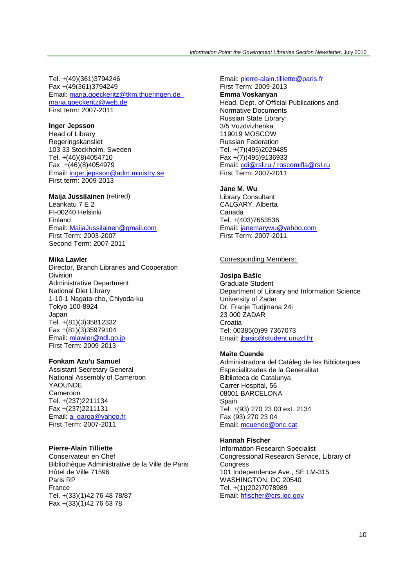Tel. +(49)(361)3794246 Fax +(49(361)3794249 Email: maria.goeckeritz@tkm.thueringen.de maria.goeckeritz@web.de First term: 2007-2011

### **Inger Jepsson**

Head of Library Regeringskansliet 103 33 Stockholm, Sweden Tel. +(46)(8)4054710 Fax +(46)(8)4054979 Email: inger.jepsson@adm.ministry.se First term: 2009-2013

### **Maija Jussilainen** (retired)

Leankatu 7 E 2 FI-00240 Helsinki Finland Email: MaijaJussilainen@gmail.com First Term: 2003-2007 Second Term: 2007-2011

#### **Mika Lawler**

Director, Branch Libraries and Cooperation Division Administrative Department National Diet Library 1-10-1 Nagata-cho, Chiyoda-ku Tokyo 100-8924 Japan Tel. +(81)(3)35812332 Fax +(81)(3)35979104 Email: mlawler@ndl.go.jp First Term: 2009-2013

#### **Fonkam Azu'u Samuel**

Assistant Secretary General National Assembly of Cameroon YAOUNDE Cameroon Tel. +(237)2211134 Fax +(237)2211131 Email: a\_garga@yahoo.fr First Term: 2007-2011

### **Pierre-Alain Tilliette**

Conservateur en Chef Bibliothèque Administrative de la Ville de Paris Hôtel de Ville 71596 Paris RP France Tel. +(33)(1)42 76 48 78/87 Fax +(33)(1)42 76 63 78

#### Email: pierre-alain.tilliette@paris.fr

First Term: 2009-2013 **Emma Voskanyan** Head, Dept. of Official Publications and Normative Documents Russian State Library 3/5 Vozdvizhenka 119019 MOSCOW Russian Federation Tel. +(7)(495)2029485 Fax +(7)(495)9136933 Email: cdi@rsl.ru / roscomifla@rsl.ru First Term: 2007-2011

#### **Jane M. Wu**

Library Consultant CALGARY, Alberta Canada Tel. +(403)7653536 Email: janemarywu@yahoo.com First Term: 2007-2011

#### Corresponding Members:

#### **Josipa Bašic**

Graduate Student Department of Library and Information Science University of Zadar Dr. Franje Tudjmana 24i 23 000 ZADAR **Croatia** Tel: 00385(0)99 7367073 Email: jbasic@student.unizd.hr

#### **Maite Cuende**

Administradora del Catàleg de les Biblioteques Especialitzades de la Generalitat Biblioteca de Catalunya Carrer Hospital, 56 08001 BARCELONA Spain Tel: +(93) 270 23 00 ext. 2134 Fax (93) 270 23 04 Email: mcuende@bnc.cat

### **Hannah Fischer**

Information Research Specialist Congressional Research Service, Library of **Congress** 101 Independence Ave., SE LM-315 WASHINGTON, DC 20540 Tel. +(1)(202)7078989 Email: hfischer@crs.loc.gov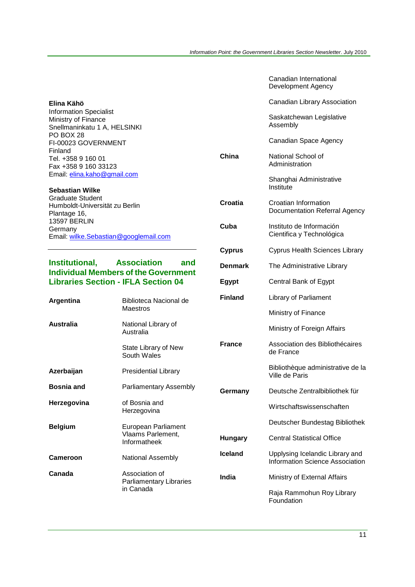Canadian International

|                                                                                                                                          |                                                          |                | Development Agency                                                        |
|------------------------------------------------------------------------------------------------------------------------------------------|----------------------------------------------------------|----------------|---------------------------------------------------------------------------|
| Elina Kähö                                                                                                                               |                                                          |                | Canadian Library Association                                              |
| <b>Information Specialist</b><br>Ministry of Finance<br>Snellmaninkatu 1 A, HELSINKI                                                     |                                                          |                | Saskatchewan Legislative<br>Assembly                                      |
| PO BOX 28<br>FI-00023 GOVERNMENT                                                                                                         |                                                          |                | Canadian Space Agency                                                     |
| Finland<br>Tel. +358 9 160 01<br>Fax +358 9 160 33123                                                                                    |                                                          | China          | National School of<br>Administration                                      |
| Email: elina.kaho@gmail.com<br><b>Sebastian Wilke</b>                                                                                    |                                                          |                | Shanghai Administrative<br>Institute                                      |
| <b>Graduate Student</b><br>Humboldt-Universität zu Berlin<br>Plantage 16,                                                                |                                                          | Croatia        | Croatian Information<br>Documentation Referral Agency                     |
| <b>13597 BERLIN</b><br>Germany<br>Email: wilke.Sebastian@googlemail.com                                                                  |                                                          | Cuba           | Instituto de Información<br>Cientifica y Technológica                     |
|                                                                                                                                          |                                                          | <b>Cyprus</b>  | <b>Cyprus Health Sciences Library</b>                                     |
| Institutional,<br><b>Association</b><br>and<br><b>Individual Members of the Government</b><br><b>Libraries Section - IFLA Section 04</b> |                                                          | <b>Denmark</b> | The Administrative Library                                                |
|                                                                                                                                          |                                                          | <b>Egypt</b>   | Central Bank of Egypt                                                     |
| Argentina                                                                                                                                | Biblioteca Nacional de<br>Maestros                       | <b>Finland</b> | Library of Parliament                                                     |
|                                                                                                                                          |                                                          |                | Ministry of Finance                                                       |
| <b>Australia</b>                                                                                                                         | National Library of<br>Australia                         |                | Ministry of Foreign Affairs                                               |
|                                                                                                                                          | State Library of New<br>South Wales                      | <b>France</b>  | Association des Bibliothécaires<br>de France                              |
| Azerbaijan                                                                                                                               | <b>Presidential Library</b>                              |                | Bibliothèque administrative de la<br>Ville de Paris                       |
| <b>Bosnia and</b>                                                                                                                        | Parliamentary Assembly                                   | Germany        | Deutsche Zentralbibliothek für                                            |
| Herzegovina                                                                                                                              | of Bosnia and<br>Herzegovina                             |                | Wirtschaftswissenschaften                                                 |
| <b>Belgium</b>                                                                                                                           | European Parliament<br>Vlaams Parlement,<br>Informatheek |                | Deutscher Bundestag Bibliothek                                            |
|                                                                                                                                          |                                                          | <b>Hungary</b> | <b>Central Statistical Office</b>                                         |
| <b>Cameroon</b>                                                                                                                          | National Assembly                                        | <b>Iceland</b> | Upplysing Icelandic Library and<br><b>Information Science Association</b> |
| Canada                                                                                                                                   | Association of<br>Parliamentary Libraries<br>in Canada   | India          | Ministry of External Affairs                                              |
|                                                                                                                                          |                                                          |                | Raja Rammohun Roy Library<br>Foundation                                   |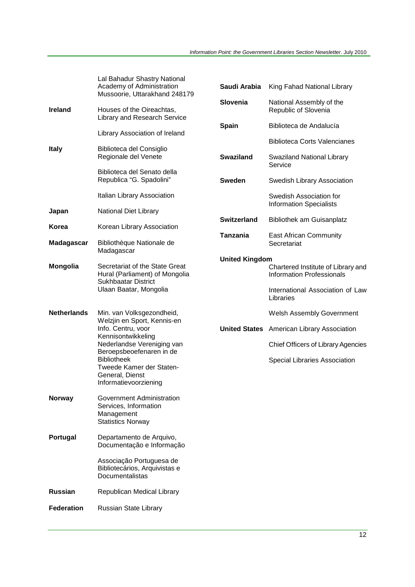|                    | Lal Bahadur Shastry National<br>Academy of Administration<br>Mussoorie, Uttarakhand 248179     | Saudi Arabia          | King Fahad National Library                                            |
|--------------------|------------------------------------------------------------------------------------------------|-----------------------|------------------------------------------------------------------------|
| Ireland            | Houses of the Oireachtas,<br>Library and Research Service                                      | Slovenia              | National Assembly of the<br>Republic of Slovenia                       |
|                    | Library Association of Ireland                                                                 | <b>Spain</b>          | Biblioteca de Andalucía                                                |
|                    |                                                                                                |                       | <b>Biblioteca Corts Valencianes</b>                                    |
| <b>Italy</b>       | Biblioteca del Consiglio<br>Regionale del Venete                                               | <b>Swaziland</b>      | Swaziland National Library<br>Service                                  |
|                    | Biblioteca del Senato della<br>Republica "G. Spadolini"                                        | <b>Sweden</b>         | Swedish Library Association                                            |
|                    | Italian Library Association                                                                    |                       | Swedish Association for<br><b>Information Specialists</b>              |
| Japan              | National Diet Library                                                                          | <b>Switzerland</b>    | <b>Bibliothek am Guisanplatz</b>                                       |
| Korea              | Korean Library Association                                                                     |                       |                                                                        |
| Madagascar         | Bibliothèque Nationale de<br>Madagascar                                                        | <b>Tanzania</b>       | <b>East African Community</b><br>Secretariat                           |
|                    |                                                                                                | <b>United Kingdom</b> |                                                                        |
| Mongolia           | Secretariat of the State Great<br>Hural (Parliament) of Mongolia<br><b>Sukhbaatar District</b> |                       | Chartered Institute of Library and<br><b>Information Professionals</b> |
|                    | Ulaan Baatar, Mongolia                                                                         |                       | International Association of Law<br>Libraries                          |
| <b>Netherlands</b> | Min. van Volksgezondheid,<br>Welzjin en Sport, Kennis-en                                       |                       | Welsh Assembly Government                                              |
|                    | Info. Centru, voor<br>Kennisontwikkeling                                                       |                       | <b>United States</b> American Library Association                      |
|                    | Nederlandse Vereniging van<br>Beroepsbeoefenaren in de                                         |                       | <b>Chief Officers of Library Agencies</b>                              |
|                    | <b>Bibliotheek</b><br>Tweede Kamer der Staten-<br>General, Dienst<br>Informatievoorziening     |                       | Special Libraries Association                                          |
|                    |                                                                                                |                       |                                                                        |
| Norway             | Government Administration<br>Services, Information<br>Management<br><b>Statistics Norway</b>   |                       |                                                                        |
| Portugal           | Departamento de Arquivo,<br>Documentação e Informação                                          |                       |                                                                        |
|                    | Associação Portuguesa de<br>Bibliotecários, Arquivistas e<br>Documentalistas                   |                       |                                                                        |
| Russian            | Republican Medical Library                                                                     |                       |                                                                        |
| Federation         | Russian State Library                                                                          |                       |                                                                        |
|                    |                                                                                                |                       |                                                                        |